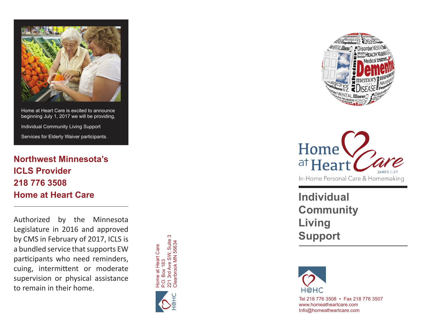

Home at Heart Care is excited to announce beginning July 1, 2017 we will be providing, Individual Community Living Support Services for Elderly Waiver participants.

# **Northwest Minnesota's ICLS Provider 218 776 3508 Home at Heart Care**

Authorized by the Minnesota Legislature in 2016 and approved by CMS in February of 2017, ICLS is a bundled service that supports EW participants who need reminders, cuing, intermittent or moderate supervision or physical assistance to remain in their home.







**Individual Community Living Support**